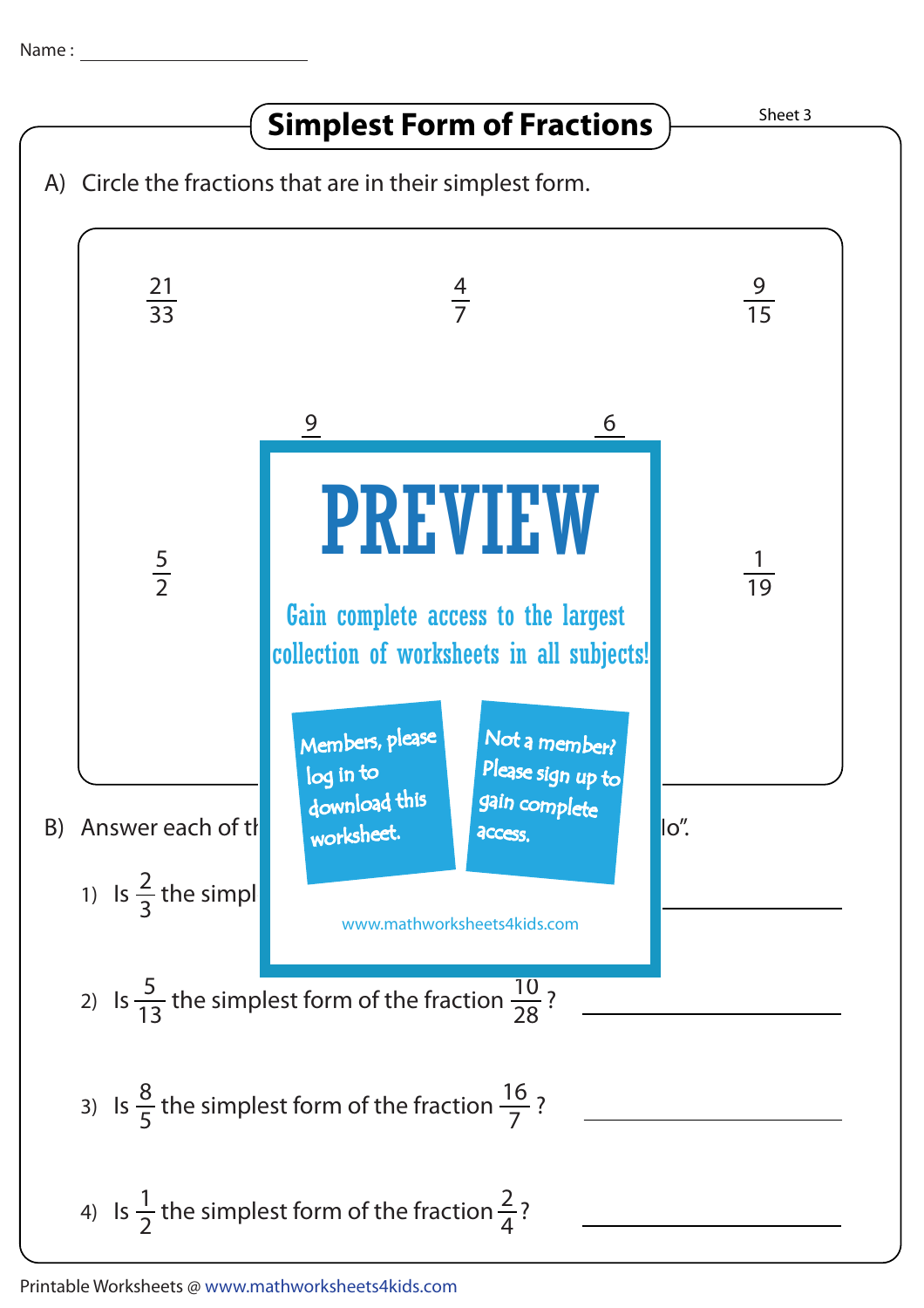